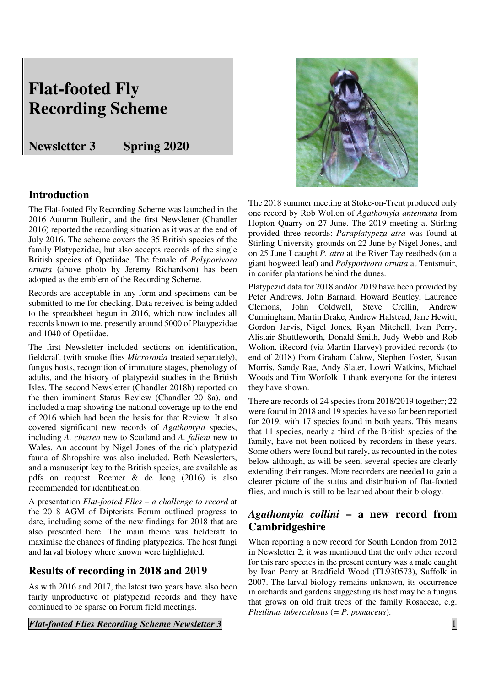# **Flat-footed Fly Recording Scheme**

## **Newsletter 3 Spring 2020**

## **Introduction**

The Flat-footed Fly Recording Scheme was launched in the 2016 Autumn Bulletin, and the first Newsletter (Chandler 2016) reported the recording situation as it was at the end of July 2016. The scheme covers the 35 British species of the family Platypezidae, but also accepts records of the single British species of Opetiidae. The female of *Polyporivora ornata* (above photo by Jeremy Richardson) has been adopted as the emblem of the Recording Scheme.

Records are acceptable in any form and specimens can be submitted to me for checking. Data received is being added to the spreadsheet begun in 2016, which now includes all records known to me, presently around 5000 of Platypezidae and 1040 of Opetiidae.

The first Newsletter included sections on identification, fieldcraft (with smoke flies *Microsania* treated separately), fungus hosts, recognition of immature stages, phenology of adults, and the history of platypezid studies in the British Isles. The second Newsletter (Chandler 2018b) reported on the then imminent Status Review (Chandler 2018a), and included a map showing the national coverage up to the end of 2016 which had been the basis for that Review. It also covered significant new records of *Agathomyia* species, including *A. cinerea* new to Scotland and *A. falleni* new to Wales. An account by Nigel Jones of the rich platypezid fauna of Shropshire was also included. Both Newsletters, and a manuscript key to the British species, are available as pdfs on request. Reemer & de Jong (2016) is also recommended for identification.

A presentation *Flat-footed Flies – a challenge to record* at the 2018 AGM of Dipterists Forum outlined progress to date, including some of the new findings for 2018 that are also presented here. The main theme was fieldcraft to maximise the chances of finding platypezids. The host fungi and larval biology where known were highlighted.

## **Results of recording in 2018 and 2019**

As with 2016 and 2017, the latest two years have also been fairly unproductive of platypezid records and they have continued to be sparse on Forum field meetings.

*Flat-footed Flies Recording Scheme Newsletter 3* **1 1** 



The 2018 summer meeting at Stoke-on-Trent produced only one record by Rob Wolton of *Agathomyia antennata* from Hopton Quarry on 27 June. The 2019 meeting at Stirling provided three records: *Paraplatypeza atra* was found at Stirling University grounds on 22 June by Nigel Jones, and on 25 June I caught *P. atra* at the River Tay reedbeds (on a giant hogweed leaf) and *Polyporivora ornata* at Tentsmuir, in conifer plantations behind the dunes.

Platypezid data for 2018 and/or 2019 have been provided by Peter Andrews, John Barnard, Howard Bentley, Laurence Clemons, John Coldwell, Steve Crellin, Andrew Cunningham, Martin Drake, Andrew Halstead, Jane Hewitt, Gordon Jarvis, Nigel Jones, Ryan Mitchell, Ivan Perry, Alistair Shuttleworth, Donald Smith, Judy Webb and Rob Wolton. iRecord (via Martin Harvey) provided records (to end of 2018) from Graham Calow, Stephen Foster, Susan Morris, Sandy Rae, Andy Slater, Lowri Watkins, Michael Woods and Tim Worfolk. I thank everyone for the interest they have shown.

There are records of 24 species from 2018/2019 together; 22 were found in 2018 and 19 species have so far been reported for 2019, with 17 species found in both years. This means that 11 species, nearly a third of the British species of the family, have not been noticed by recorders in these years. Some others were found but rarely, as recounted in the notes below although, as will be seen, several species are clearly extending their ranges. More recorders are needed to gain a clearer picture of the status and distribution of flat-footed flies, and much is still to be learned about their biology.

## *Agathomyia collini* **– a new record from Cambridgeshire**

When reporting a new record for South London from 2012 in Newsletter 2, it was mentioned that the only other record for this rare species in the present century was a male caught by Ivan Perry at Bradfield Wood (TL930573), Suffolk in 2007. The larval biology remains unknown, its occurrence in orchards and gardens suggesting its host may be a fungus that grows on old fruit trees of the family Rosaceae, e.g. *Phellinus tuberculosus* (*= P. pomaceus*).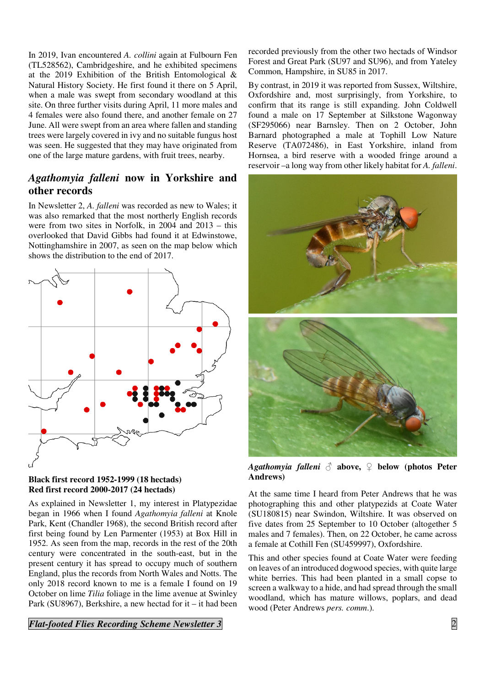In 2019, Ivan encountered *A. collini* again at Fulbourn Fen (TL528562), Cambridgeshire, and he exhibited specimens at the 2019 Exhibition of the British Entomological & Natural History Society. He first found it there on 5 April, when a male was swept from secondary woodland at this site. On three further visits during April, 11 more males and 4 females were also found there, and another female on 27 June. All were swept from an area where fallen and standing trees were largely covered in ivy and no suitable fungus host was seen. He suggested that they may have originated from one of the large mature gardens, with fruit trees, nearby.

## *Agathomyia falleni* **now in Yorkshire and other records**

In Newsletter 2, *A. falleni* was recorded as new to Wales; it was also remarked that the most northerly English records were from two sites in Norfolk, in 2004 and 2013 – this overlooked that David Gibbs had found it at Edwinstowe, Nottinghamshire in 2007, as seen on the map below which shows the distribution to the end of 2017.



#### **Black first record 1952-1999 (18 hectads) Red first record 2000-2017 (24 hectads)**

As explained in Newsletter 1, my interest in Platypezidae began in 1966 when I found *Agathomyia falleni* at Knole Park, Kent (Chandler 1968), the second British record after first being found by Len Parmenter (1953) at Box Hill in 1952. As seen from the map, records in the rest of the 20th century were concentrated in the south-east, but in the present century it has spread to occupy much of southern England, plus the records from North Wales and Notts. The only 2018 record known to me is a female I found on 19 October on lime *Tilia* foliage in the lime avenue at Swinley Park (SU8967), Berkshire, a new hectad for it – it had been

#### *Flat-footed Flies Recording Scheme Newsletter 3* 2

recorded previously from the other two hectads of Windsor Forest and Great Park (SU97 and SU96), and from Yateley Common, Hampshire, in SU85 in 2017.

By contrast, in 2019 it was reported from Sussex, Wiltshire, Oxfordshire and, most surprisingly, from Yorkshire, to confirm that its range is still expanding. John Coldwell found a male on 17 September at Silkstone Wagonway (SF295066) near Barnsley. Then on 2 October, John Barnard photographed a male at Tophill Low Nature Reserve (TA072486), in East Yorkshire, inland from Hornsea, a bird reserve with a wooded fringe around a reservoir –a long way from other likely habitat for *A. falleni*.



*Agathomyia falleni* ♂ **above,** ♀ **below (photos Peter Andrews)** 

At the same time I heard from Peter Andrews that he was photographing this and other platypezids at Coate Water (SU180815) near Swindon, Wiltshire. It was observed on five dates from 25 September to 10 October (altogether 5 males and 7 females). Then, on 22 October, he came across a female at Cothill Fen (SU459997), Oxfordshire.

This and other species found at Coate Water were feeding on leaves of an introduced dogwood species, with quite large white berries. This had been planted in a small copse to screen a walkway to a hide, and had spread through the small woodland, which has mature willows, poplars, and dead wood (Peter Andrews *pers. comm*.).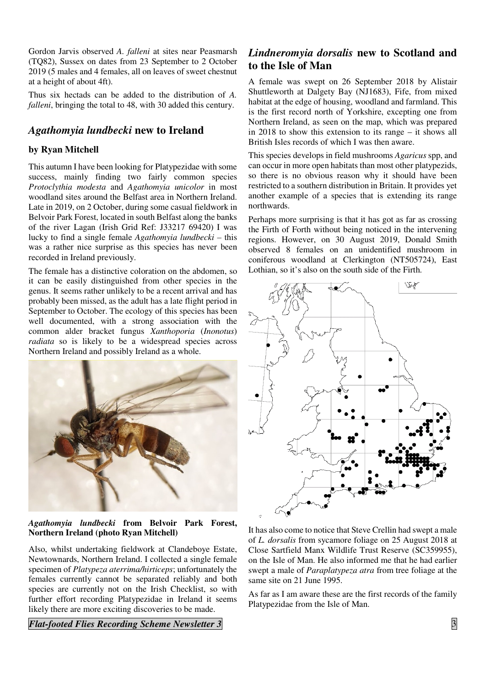Gordon Jarvis observed *A. falleni* at sites near Peasmarsh (TQ82), Sussex on dates from 23 September to 2 October 2019 (5 males and 4 females, all on leaves of sweet chestnut at a height of about 4ft).

Thus six hectads can be added to the distribution of *A. falleni*, bringing the total to 48, with 30 added this century.

## *Agathomyia lundbecki* **new to Ireland**

### **by Ryan Mitchell**

This autumn I have been looking for Platypezidae with some success, mainly finding two fairly common species *Protoclythia modesta* and *Agathomyia unicolor* in most woodland sites around the Belfast area in Northern Ireland. Late in 2019, on 2 October, during some casual fieldwork in Belvoir Park Forest, located in south Belfast along the banks of the river Lagan (Irish Grid Ref: J33217 69420) I was lucky to find a single female *Agathomyia lundbecki –* this was a rather nice surprise as this species has never been recorded in Ireland previously.

The female has a distinctive coloration on the abdomen, so it can be easily distinguished from other species in the genus. It seems rather unlikely to be a recent arrival and has probably been missed, as the adult has a late flight period in September to October. The ecology of this species has been well documented, with a strong association with the common alder bracket fungus *Xanthoporia* (*Inonotus*) *radiata* so is likely to be a widespread species across Northern Ireland and possibly Ireland as a whole.



#### *Agathomyia lundbecki* **from Belvoir Park Forest, Northern Ireland (photo Ryan Mitchell)**

Also, whilst undertaking fieldwork at Clandeboye Estate, Newtownards, Northern Ireland. I collected a single female specimen of *Platypeza aterrima/hirticeps*; unfortunately the females currently cannot be separated reliably and both species are currently not on the Irish Checklist, so with further effort recording Platypezidae in Ireland it seems likely there are more exciting discoveries to be made.

### *Flat-footed Flies Recording Scheme Newsletter 3* 3

## *Lindneromyia dorsalis* **new to Scotland and to the Isle of Man**

A female was swept on 26 September 2018 by Alistair Shuttleworth at Dalgety Bay (NJ1683), Fife, from mixed habitat at the edge of housing, woodland and farmland. This is the first record north of Yorkshire, excepting one from Northern Ireland, as seen on the map, which was prepared in 2018 to show this extension to its range – it shows all British Isles records of which I was then aware.

This species develops in field mushrooms *Agaricus* spp, and can occur in more open habitats than most other platypezids, so there is no obvious reason why it should have been restricted to a southern distribution in Britain. It provides yet another example of a species that is extending its range northwards.

Perhaps more surprising is that it has got as far as crossing the Firth of Forth without being noticed in the intervening regions. However, on 30 August 2019, Donald Smith observed 8 females on an unidentified mushroom in coniferous woodland at Clerkington (NT505724), East Lothian, so it's also on the south side of the Firth.



It has also come to notice that Steve Crellin had swept a male of *L. dorsalis* from sycamore foliage on 25 August 2018 at Close Sartfield Manx Wildlife Trust Reserve (SC359955), on the Isle of Man. He also informed me that he had earlier swept a male of *Paraplatypeza atra* from tree foliage at the same site on 21 June 1995.

As far as I am aware these are the first records of the family Platypezidae from the Isle of Man.